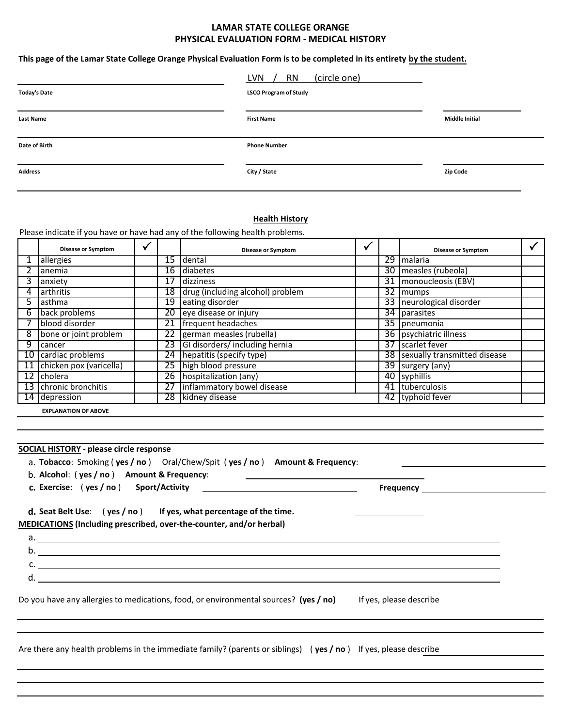### **LAMAR STATE COLLEGE ORANGE PHYSICAL EVALUATION FORM - MEDICAL HISTORY**

This page of the Lamar State College Orange Physical Evaluation Form is to be completed in its entirety by the student.

| <b>Today's Date</b> | (circle one)<br><b>LVN</b><br><b>RN</b><br><b>LSCO Program of Study</b> |                       |
|---------------------|-------------------------------------------------------------------------|-----------------------|
| <b>Last Name</b>    | <b>First Name</b>                                                       | <b>Middle Initial</b> |
| Date of Birth       | <b>Phone Number</b>                                                     |                       |
| <b>Address</b>      | City / State                                                            | <b>Zip Code</b>       |

## **Health History**

Please indicate if you have or have had any of the following health problems.

|    | <b>Disease or Symptom</b>   |    | <b>Disease or Symptom</b>        | $\overline{\phantom{a}}$ |    | <b>Disease or Symptom</b>    | v |
|----|-----------------------------|----|----------------------------------|--------------------------|----|------------------------------|---|
|    | allergies                   | 15 | dental                           |                          | 29 | malaria                      |   |
|    | anemia                      | 16 | diabetes                         |                          | 30 | measles (rubeola)            |   |
| 3  | anxiety                     | 17 | dizziness                        |                          | 31 | monoucleosis (EBV)           |   |
| 4  | arthritis                   | 18 | drug (including alcohol) problem |                          | 32 | mumps                        |   |
|    | asthma                      | 19 | eating disorder                  |                          |    | 33   neurological disorder   |   |
| b  | back problems               | 20 | eye disease or injury            |                          |    | 34 parasites                 |   |
|    | blood disorder              | 21 | frequent headaches               |                          |    | 35 pneumonia                 |   |
| 8  | bone or joint problem       | 22 | german measles (rubella)         |                          |    | 36 psychiatric illness       |   |
| 9  | cancer                      | 23 | GI disorders/including hernia    |                          | 37 | scarlet fever                |   |
| 10 | cardiac problems            | 24 | hepatitis (specify type)         |                          | 38 | sexually transmitted disease |   |
| 11 | chicken pox (varicella)     | 25 | high blood pressure              |                          | 39 | surgery (any)                |   |
|    | 12 cholera                  | 26 | hospitalization (any)            |                          |    | 40 syphillis                 |   |
|    | 13 Chronic bronchitis       | 27 | inflammatory bowel disease       |                          | 41 | tuberculosis                 |   |
|    | 14 depression               | 28 | kidney disease                   |                          |    | 42 typhoid fever             |   |
|    | <b>EXPLANATION OF ABOVE</b> |    |                                  |                          |    |                              |   |

| <b>SOCIAL HISTORY - please circle response</b>                                                                    |                             |
|-------------------------------------------------------------------------------------------------------------------|-----------------------------|
| a. Tobacco: Smoking (yes / no ) Oral/Chew/Spit (yes / no ) Amount & Frequency:                                    |                             |
|                                                                                                                   |                             |
|                                                                                                                   | <b>Frequency Example 20</b> |
| d. Seat Belt Use: $(yes / no)$ If yes, what percentage of the time.                                               |                             |
| <b>MEDICATIONS</b> (Including prescribed, over-the-counter, and/or herbal)                                        |                             |
| a.                                                                                                                |                             |
| $\mathsf{b}$ .                                                                                                    |                             |
| $\mathsf{C}$ .                                                                                                    |                             |
| d.                                                                                                                |                             |
| Do you have any allergies to medications, food, or environmental sources? (yes / no)                              | If yes, please describe     |
|                                                                                                                   |                             |
| Are there any health problems in the immediate family? (parents or siblings) ( $yes/no$ ) If yes, please describe |                             |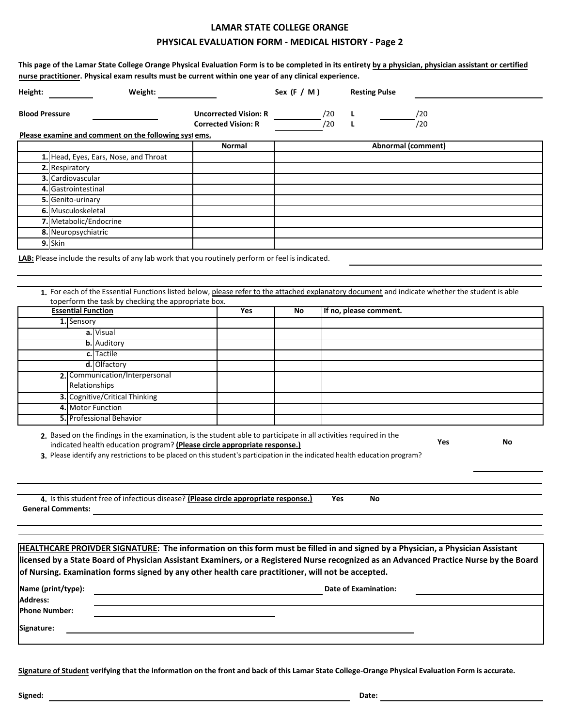## **LAMAR STATE COLLEGE ORANGE PHYSICAL EVALUATION FORM - MEDICAL HISTORY - Page 2**

**This page of the Lamar State College Orange Physical Evaluation Form is to be completed in its entirety by a physician, physician assistant or certified nurse practitioner. Physical exam results must be current within one year of any clinical experience.**

| Height:                        | <sub>.</sub><br>Weight:                                                                                                                                                                                                                                                                                                       |                                                            | Sex $(F / M)$ |            | <b>Resting Pulse</b>   |                                                                                                                                                                                                                                                                           |
|--------------------------------|-------------------------------------------------------------------------------------------------------------------------------------------------------------------------------------------------------------------------------------------------------------------------------------------------------------------------------|------------------------------------------------------------|---------------|------------|------------------------|---------------------------------------------------------------------------------------------------------------------------------------------------------------------------------------------------------------------------------------------------------------------------|
| <b>Blood Pressure</b>          |                                                                                                                                                                                                                                                                                                                               | <b>Uncorrected Vision: R</b><br><b>Corrected Vision: R</b> |               | /20<br>/20 | L<br>L                 | /20<br>/20                                                                                                                                                                                                                                                                |
|                                | Please examine and comment on the following systems.                                                                                                                                                                                                                                                                          |                                                            |               |            |                        |                                                                                                                                                                                                                                                                           |
|                                |                                                                                                                                                                                                                                                                                                                               | <b>Normal</b>                                              |               |            |                        | <b>Abnormal (comment)</b>                                                                                                                                                                                                                                                 |
|                                | 1. Head, Eyes, Ears, Nose, and Throat                                                                                                                                                                                                                                                                                         |                                                            |               |            |                        |                                                                                                                                                                                                                                                                           |
| 2. Respiratory                 |                                                                                                                                                                                                                                                                                                                               |                                                            |               |            |                        |                                                                                                                                                                                                                                                                           |
|                                | 3. Cardiovascular                                                                                                                                                                                                                                                                                                             |                                                            |               |            |                        |                                                                                                                                                                                                                                                                           |
|                                | 4. Gastrointestinal                                                                                                                                                                                                                                                                                                           |                                                            |               |            |                        |                                                                                                                                                                                                                                                                           |
|                                | 5. Genito-urinary                                                                                                                                                                                                                                                                                                             |                                                            |               |            |                        |                                                                                                                                                                                                                                                                           |
|                                | 6. Musculoskeletal                                                                                                                                                                                                                                                                                                            |                                                            |               |            |                        |                                                                                                                                                                                                                                                                           |
|                                | 7. Metabolic/Endocrine                                                                                                                                                                                                                                                                                                        |                                                            |               |            |                        |                                                                                                                                                                                                                                                                           |
|                                | 8. Neuropsychiatric                                                                                                                                                                                                                                                                                                           |                                                            |               |            |                        |                                                                                                                                                                                                                                                                           |
| 9. Skin                        |                                                                                                                                                                                                                                                                                                                               |                                                            |               |            |                        |                                                                                                                                                                                                                                                                           |
|                                | LAB: Please include the results of any lab work that you routinely perform or feel is indicated.<br>toperform the task by checking the appropriate box.                                                                                                                                                                       |                                                            |               |            |                        | 1. For each of the Essential Functions listed below, please refer to the attached explanatory document and indicate whether the student is able                                                                                                                           |
|                                | <b>Essential Function</b>                                                                                                                                                                                                                                                                                                     | <b>Yes</b>                                                 | No            |            | If no, please comment. |                                                                                                                                                                                                                                                                           |
|                                | 1. Sensory                                                                                                                                                                                                                                                                                                                    |                                                            |               |            |                        |                                                                                                                                                                                                                                                                           |
|                                | a. Visual                                                                                                                                                                                                                                                                                                                     |                                                            |               |            |                        |                                                                                                                                                                                                                                                                           |
|                                | <b>b.</b> Auditory                                                                                                                                                                                                                                                                                                            |                                                            |               |            |                        |                                                                                                                                                                                                                                                                           |
|                                | c. Tactile                                                                                                                                                                                                                                                                                                                    |                                                            |               |            |                        |                                                                                                                                                                                                                                                                           |
|                                | d. Olfactory                                                                                                                                                                                                                                                                                                                  |                                                            |               |            |                        |                                                                                                                                                                                                                                                                           |
|                                | 2. Communication/Interpersonal                                                                                                                                                                                                                                                                                                |                                                            |               |            |                        |                                                                                                                                                                                                                                                                           |
|                                | Relationships                                                                                                                                                                                                                                                                                                                 |                                                            |               |            |                        |                                                                                                                                                                                                                                                                           |
|                                | 3. Cognitive/Critical Thinking                                                                                                                                                                                                                                                                                                |                                                            |               |            |                        |                                                                                                                                                                                                                                                                           |
|                                | 4. Motor Function                                                                                                                                                                                                                                                                                                             |                                                            |               |            |                        |                                                                                                                                                                                                                                                                           |
|                                | 5. Professional Behavior                                                                                                                                                                                                                                                                                                      |                                                            |               |            |                        |                                                                                                                                                                                                                                                                           |
|                                | 2. Based on the findings in the examination, is the student able to participate in all activities required in the<br>indicated health education program? (Please circle appropriate response.)<br>3. Please identify any restrictions to be placed on this student's participation in the indicated health education program? |                                                            |               |            |                        | Yes<br>No                                                                                                                                                                                                                                                                 |
|                                |                                                                                                                                                                                                                                                                                                                               |                                                            |               |            |                        |                                                                                                                                                                                                                                                                           |
| <b>General Comments:</b>       | 4. Is this student free of infectious disease? (Please circle appropriate response.)                                                                                                                                                                                                                                          |                                                            |               | Yes        | No                     |                                                                                                                                                                                                                                                                           |
|                                |                                                                                                                                                                                                                                                                                                                               |                                                            |               |            |                        |                                                                                                                                                                                                                                                                           |
|                                |                                                                                                                                                                                                                                                                                                                               |                                                            |               |            |                        |                                                                                                                                                                                                                                                                           |
| Name (print/type):<br>Address: | of Nursing. Examination forms signed by any other health care practitioner, will not be accepted.                                                                                                                                                                                                                             |                                                            |               |            | Date of Examination:   | HEALTHCARE PROIVDER SIGNATURE: The information on this form must be filled in and signed by a Physician, a Physician Assistant<br>licensed by a State Board of Physician Assistant Examiners, or a Registered Nurse recognized as an Advanced Practice Nurse by the Board |
| <b>Phone Number:</b>           |                                                                                                                                                                                                                                                                                                                               |                                                            |               |            |                        |                                                                                                                                                                                                                                                                           |
| Signature:                     |                                                                                                                                                                                                                                                                                                                               |                                                            |               |            |                        |                                                                                                                                                                                                                                                                           |
|                                |                                                                                                                                                                                                                                                                                                                               |                                                            |               |            |                        |                                                                                                                                                                                                                                                                           |

Signature of Student verifying that the information on the front and back of this Lamar State College-Orange Physical Evaluation Form is accurate.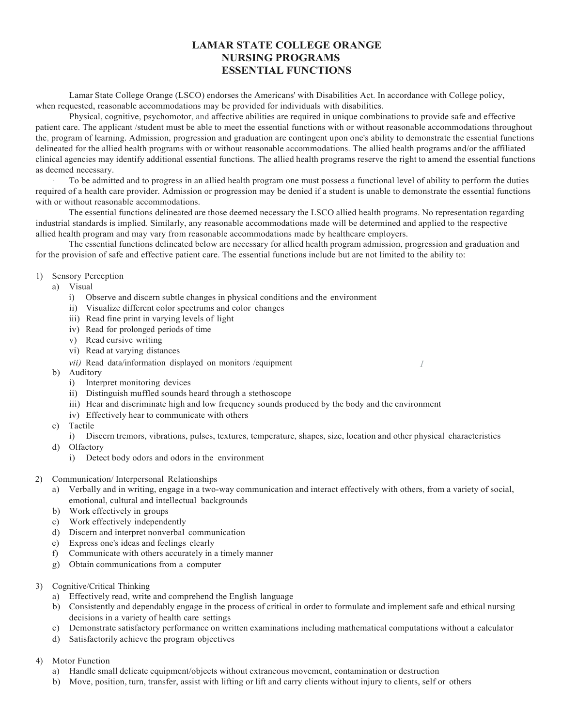## **LAMAR STATE COLLEGE ORANGE NURSING PROGRAMS ESSENTIAL FUNCTIONS**

Lamar State College Orange (LSCO) endorses the Americans' with Disabilities Act. In accordance with College policy, when requested, reasonable accommodations may be provided for individuals with disabilities.

Physical, cognitive, psychomotor, and affective abilities are required in unique combinations to provide safe and effective patient care. The applicant /student must be able to meet the essential functions with or without reasonable accommodations throughout the, program of learning. Admission, progression and graduation are contingent upon one's ability to demonstrate the essential functions delineated for the allied health programs with or without reasonable accommodations. The allied health programs and/or the affiliated clinical agencies may identify additional essential functions. The allied health programs reserve the right to amend the essential functions as deemed necessary.

· To be admitted and to progress in an allied health program one must possess a functional level of ability to perform the duties required of a health care provider. Admission or progression may be denied if a student is unable to demonstrate the essential functions with or without reasonable accommodations.

The essential functions delineated are those deemed necessary the LSCO allied health programs. No representation regarding industrial standards is implied. Similarly, any reasonable accommodations made will be determined and applied to the respective allied health program and may vary from reasonable accommodations made by healthcare employers.

The essential functions delineated below are necessary for allied health program admission, progression and graduation and for the provision of safe and effective patient care. The essential functions include but are not limited to the ability to:

#### 1) Sensory Perception

#### a) Visual

- i) Observe and discern subtle changes in physical conditions and the environment
- ii) Visualize different color spectrums and color changes
- iii) Read fine print in varying levels of light
- iv) Read for prolonged periods of time
- v) Read cursive writing
- vi) Read at varying distances
- *vii)* Read data/information displayed on monitors /equipment *I*
- b) Auditory
	- i) Interpret monitoring devices
	- ii) Distinguish muffled sounds heard through a stethoscope
	- iii) Hear and discriminate high and low frequency sounds produced by the body and the environment
	- iv) Effectively hear to communicate with others
- c) Tactile
	- i) Discern tremors, vibrations, pulses, textures, temperature, shapes, size, location and other physical characteristics
- d) Olfactory
	- i) Detect body odors and odors in the environment
- 2) Communication/ Interpersonal Relationships
	- a) Verbally and in writing, engage in a two-way communication and interact effectively with others, from a variety of social, emotional, cultural and intellectual backgrounds
	- b) Work effectively in groups
	- c) Work effectively independently
	- d) Discern and interpret nonverbal communication
	- e) Express one's ideas and feelings clearly
	- f) Communicate with others accurately in a timely manner
	- g) Obtain communications from a computer
- 3) Cognitive/Critical Thinking
	- a) Effectively read, write and comprehend the English language
	- b) Consistently and dependably engage in the process of critical in order to formulate and implement safe and ethical nursing decisions in a variety of health care settings
	- c) Demonstrate satisfactory performance on written examinations including mathematical computations without a calculator
	- d) Satisfactorily achieve the program objectives
- 4) Motor Function
	- a) Handle small delicate equipment/objects without extraneous movement, contamination or destruction
	- b) Move, position, turn, transfer, assist with lifting or lift and carry clients without injury to clients, self or others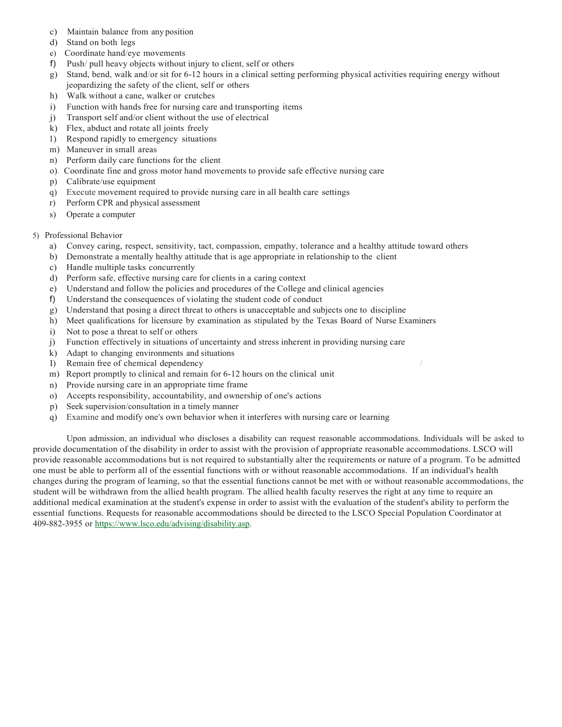- c) Maintain balance from any position
- d) Stand on both legs
- e) Coordinate hand/eye movements
- f) Push/ pull heavy objects without injury to client, self or others
- g) Stand, bend, walk and/or sit for 6-12 hours in a clinical setting performing physical activities requiring energy without jeopardizing the safety of the client, self or others
- h) Walk without a cane, walker or crutches
- i) Function with hands free for nursing care and transporting items
- j) Transport self and/or client without the use of electrical
- k) Flex, abduct and rotate all joints freely
- 1) Respond rapidly to emergency situations
- m) Maneuver in small areas
- n) Perform daily care functions for the client
- o). Coordinate fine and gross motor hand movements to provide safe effective nursing care
- p) Calibrate/use equipment
- q) Execute movement required to provide nursing care in all health care settings
- r) Perform CPR and physical assessment
- s) Operate a computer
- 5) Professional Behavior
	- a) Convey caring, respect, sensitivity, tact, compassion, empathy, tolerance and a healthy attitude toward others
	- b) Demonstrate a mentally healthy attitude that is age appropriate in relationship to the client
	- c) Handle multiple tasks concurrently
	- d) Perform safe, effective nursing care for clients in a caring context
	- e) Understand and follow the policies and procedures of the College and clinical agencies
	- f) Understand the consequences of violating the student code of conduct
	- g) Understand that posing a direct threat to others is unacceptable and subjects one to discipline
	- h) Meet qualifications for licensure by examination as stipulated by the Texas Board of Nurse Examiners
	- i) Not to pose a threat to self or others
	- j) Function effectively in situations of uncertainty and stress inherent in providing nursing care
	- k) Adapt to changing environments and situations
	- I) Remain free of chemical dependency
	- m) Report promptly to clinical and remain for 6-12 hours on the clinical unit
	- n) Provide nursing care in an appropriate time frame
	- o) Accepts responsibility, accountability, and ownership of one's actions
	- p) Seek supervision/consultation in a timely manner
	- q) Examine and modify one's own behavior when it interferes with nursing care or learning

Upon admission, an individual who discloses a disability can request reasonable accommodations. Individuals will be asked to provide documentation of the disability in order to assist with the provision of appropriate reasonable accommodations. LSCO will provide reasonable accommodations but is not required to substantially alter the requirements or nature of a program. To be admitted one must be able to perform all of the essential functions with or without reasonable accommodations. If an individual's health changes during the program of learning, so that the essential functions cannot be met with or without reasonable accommodations, the student will be withdrawn from the allied health program. The allied health faculty reserves the right at any time to require an additional medical examination at the student's expense in order to assist with the evaluation of the student's ability to perform the essential functions. Requests for reasonable accommodations should be directed to the LSCO Special Population Coordinator at 409-882-3955 or https:/[/www.lsco.edu/advising/disability.asp.](http://www.lsco.edu/advising/disability.asp)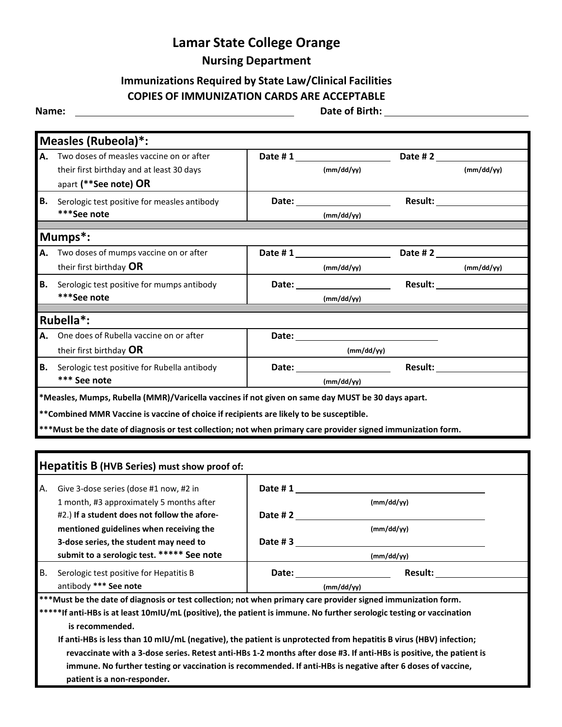# **Lamar State College Orange**

# **Nursing Department**

# **Immunizations Required by State Law/Clinical Facilities COPIES OF IMMUNIZATION CARDS ARE ACCEPTABLE**

**Name: Date of Birth:**

|    | <b>Measles (Rubeola)*:</b>                                                                                    |            |                             |                             |
|----|---------------------------------------------------------------------------------------------------------------|------------|-----------------------------|-----------------------------|
| А. | Two doses of measles vaccine on or after                                                                      | Date # 1   |                             |                             |
|    | their first birthday and at least 30 days                                                                     | (mm/dd/yy) |                             | (mm/dd/yy)                  |
|    | apart (**See note) OR                                                                                         |            |                             |                             |
| В. | Serologic test positive for measles antibody                                                                  |            |                             | <b>Result: Example 2019</b> |
|    | ***See note                                                                                                   | (mm/dd/yy) |                             |                             |
|    | Mumps*:                                                                                                       |            |                             |                             |
| А. | Two doses of mumps vaccine on or after                                                                        |            | Date # 2                    |                             |
|    | their first birthday OR                                                                                       | (mm/dd/yy) |                             |                             |
| В. | Serologic test positive for mumps antibody                                                                    |            |                             | <b>Result: Example 2019</b> |
|    | ***See note                                                                                                   | (mm/dd/yy) |                             |                             |
|    | Rubella*:                                                                                                     |            |                             |                             |
| А. | One does of Rubella vaccine on or after                                                                       |            |                             |                             |
|    | their first birthday OR                                                                                       | (mm/dd/yy) |                             |                             |
| В. | Serologic test positive for Rubella antibody                                                                  |            | Result: <b>Example 2019</b> |                             |
|    | *** See note                                                                                                  | (mm/dd/vv) |                             |                             |
|    | *Measles, Mumps, Rubella (MMR)/Varicella vaccines if not given on same day MUST be 30 days apart.             |            |                             |                             |
|    | ** Combined MMR Vaccine is vaccine of choice if recipients are likely to be susceptible.                      |            |                             |                             |
|    | ***Must be the date of diagnosis or test collection; not when primary care provider signed immunization form. |            |                             |                             |
|    |                                                                                                               |            |                             |                             |
|    | <b>Hepatitis B (HVB Series) must show proof of:</b>                                                           |            |                             |                             |

| А. | Give 3-dose series (dose #1 now, #2 in<br>1 month, #3 approximately 5 months after<br>#2.) If a student does not follow the afore- | Date #1<br>Date #2 | (mm/dd/vv)     |  |  |
|----|------------------------------------------------------------------------------------------------------------------------------------|--------------------|----------------|--|--|
|    | mentioned guidelines when receiving the                                                                                            |                    | (mm/dd/vv)     |  |  |
|    | 3-dose series, the student may need to                                                                                             | Date # $3$         |                |  |  |
|    | submit to a serologic test. ****** See note                                                                                        |                    | (mm/dd/yy)     |  |  |
| В. | Serologic test positive for Hepatitis B                                                                                            | Date:              | <b>Result:</b> |  |  |
|    | antibody *** See note                                                                                                              |                    | (mm/dd/yy)     |  |  |
|    | ***Must be the date of diagnosis or test collection; not when primary care provider signed immunization form.                      |                    |                |  |  |

\*\*\*\*\*If anti-HBs is at least 10mIU/mL (positive), the patient is immune. No further serologic testing or vaccination **is recommended.**

If anti-HBs is less than 10 mIU/mL (negative), the patient is unprotected from hepatitis B virus (HBV) infection; revaccinate with a 3-dose series. Retest anti-HBs 1-2 months after dose #3. If anti-HBs is positive, the patient is immune. No further testing or vaccination is recommended. If anti-HBs is negative after 6 doses of vaccine, **patient is a non-responder.**